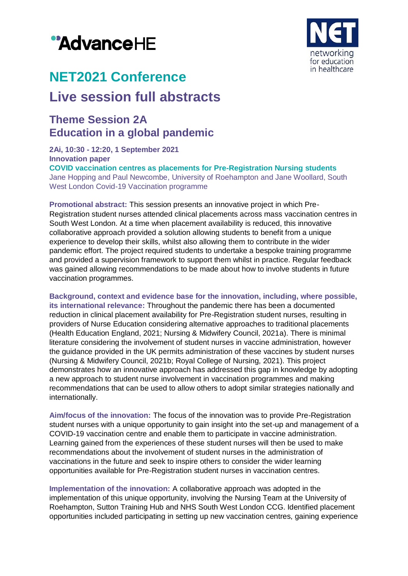# "AdvanceHE



## **NET2021 Conference**

## **Live session full abstracts**

### **Theme Session 2A Education in a global pandemic**

**2Ai, 10:30 - 12:20, 1 September 2021 Innovation paper COVID vaccination centres as placements for Pre-Registration Nursing students** Jane Hopping and Paul Newcombe, University of Roehampton and Jane Woollard, South West London Covid-19 Vaccination programme

**Promotional abstract:** This session presents an innovative project in which Pre-Registration student nurses attended clinical placements across mass vaccination centres in South West London. At a time when placement availability is reduced, this innovative collaborative approach provided a solution allowing students to benefit from a unique experience to develop their skills, whilst also allowing them to contribute in the wider pandemic effort. The project required students to undertake a bespoke training programme and provided a supervision framework to support them whilst in practice. Regular feedback was gained allowing recommendations to be made about how to involve students in future vaccination programmes.

**Background, context and evidence base for the innovation, including, where possible, its international relevance:** Throughout the pandemic there has been a documented reduction in clinical placement availability for Pre-Registration student nurses, resulting in providers of Nurse Education considering alternative approaches to traditional placements (Health Education England, 2021; Nursing & Midwifery Council, 2021a). There is minimal literature considering the involvement of student nurses in vaccine administration, however the guidance provided in the UK permits administration of these vaccines by student nurses (Nursing & Midwifery Council, 2021b; Royal College of Nursing, 2021). This project demonstrates how an innovative approach has addressed this gap in knowledge by adopting a new approach to student nurse involvement in vaccination programmes and making recommendations that can be used to allow others to adopt similar strategies nationally and internationally.

**Aim/focus of the innovation:** The focus of the innovation was to provide Pre-Registration student nurses with a unique opportunity to gain insight into the set-up and management of a COVID-19 vaccination centre and enable them to participate in vaccine administration. Learning gained from the experiences of these student nurses will then be used to make recommendations about the involvement of student nurses in the administration of vaccinations in the future and seek to inspire others to consider the wider learning opportunities available for Pre-Registration student nurses in vaccination centres.

**Implementation of the innovation:** A collaborative approach was adopted in the implementation of this unique opportunity, involving the Nursing Team at the University of Roehampton, Sutton Training Hub and NHS South West London CCG. Identified placement opportunities included participating in setting up new vaccination centres, gaining experience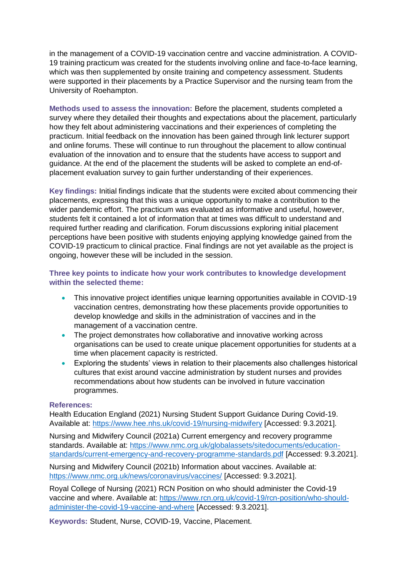in the management of a COVID-19 vaccination centre and vaccine administration. A COVID-19 training practicum was created for the students involving online and face-to-face learning, which was then supplemented by onsite training and competency assessment. Students were supported in their placements by a Practice Supervisor and the nursing team from the University of Roehampton.

**Methods used to assess the innovation:** Before the placement, students completed a survey where they detailed their thoughts and expectations about the placement, particularly how they felt about administering vaccinations and their experiences of completing the practicum. Initial feedback on the innovation has been gained through link lecturer support and online forums. These will continue to run throughout the placement to allow continual evaluation of the innovation and to ensure that the students have access to support and guidance. At the end of the placement the students will be asked to complete an end-ofplacement evaluation survey to gain further understanding of their experiences.

**Key findings:** Initial findings indicate that the students were excited about commencing their placements, expressing that this was a unique opportunity to make a contribution to the wider pandemic effort. The practicum was evaluated as informative and useful, however, students felt it contained a lot of information that at times was difficult to understand and required further reading and clarification. Forum discussions exploring initial placement perceptions have been positive with students enjoying applying knowledge gained from the COVID-19 practicum to clinical practice. Final findings are not yet available as the project is ongoing, however these will be included in the session.

#### **Three key points to indicate how your work contributes to knowledge development within the selected theme:**

- This innovative project identifies unique learning opportunities available in COVID-19 vaccination centres, demonstrating how these placements provide opportunities to develop knowledge and skills in the administration of vaccines and in the management of a vaccination centre.
- The project demonstrates how collaborative and innovative working across organisations can be used to create unique placement opportunities for students at a time when placement capacity is restricted.
- Exploring the students' views in relation to their placements also challenges historical cultures that exist around vaccine administration by student nurses and provides recommendations about how students can be involved in future vaccination programmes.

#### **References:**

Health Education England (2021) Nursing Student Support Guidance During Covid-19. Available at:<https://www.hee.nhs.uk/covid-19/nursing-midwifery> [Accessed: 9.3.2021].

Nursing and Midwifery Council (2021a) Current emergency and recovery programme standards. Available at: [https://www.nmc.org.uk/globalassets/sitedocuments/education](https://www.nmc.org.uk/globalassets/sitedocuments/education-standards/current-emergency-and-recovery-programme-standards.pdf)[standards/current-emergency-and-recovery-programme-standards.pdf](https://www.nmc.org.uk/globalassets/sitedocuments/education-standards/current-emergency-and-recovery-programme-standards.pdf) [Accessed: 9.3.2021].

Nursing and Midwifery Council (2021b) Information about vaccines. Available at: <https://www.nmc.org.uk/news/coronavirus/vaccines/> [Accessed: 9.3.2021].

Royal College of Nursing (2021) RCN Position on who should administer the Covid-19 vaccine and where. Available at: [https://www.rcn.org.uk/covid-19/rcn-position/who-should](https://www.rcn.org.uk/covid-19/rcn-position/who-should-administer-the-covid-19-vaccine-and-where)[administer-the-covid-19-vaccine-and-where](https://www.rcn.org.uk/covid-19/rcn-position/who-should-administer-the-covid-19-vaccine-and-where) [Accessed: 9.3.2021].

**Keywords:** Student, Nurse, COVID-19, Vaccine, Placement.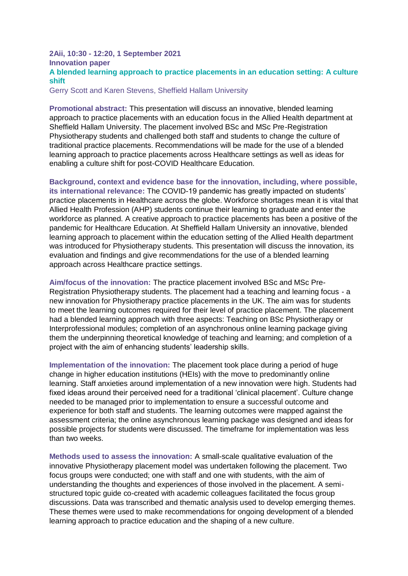#### **2Aii, 10:30 - 12:20, 1 September 2021 Innovation paper A blended learning approach to practice placements in an education setting: A culture shift**

Gerry Scott and Karen Stevens, Sheffield Hallam University

**Promotional abstract:** This presentation will discuss an innovative, blended learning approach to practice placements with an education focus in the Allied Health department at Sheffield Hallam University. The placement involved BSc and MSc Pre-Registration Physiotherapy students and challenged both staff and students to change the culture of traditional practice placements. Recommendations will be made for the use of a blended learning approach to practice placements across Healthcare settings as well as ideas for enabling a culture shift for post-COVID Healthcare Education.

**Background, context and evidence base for the innovation, including, where possible, its international relevance:** The COVID-19 pandemic has greatly impacted on students' practice placements in Healthcare across the globe. Workforce shortages mean it is vital that Allied Health Profession (AHP) students continue their learning to graduate and enter the workforce as planned. A creative approach to practice placements has been a positive of the pandemic for Healthcare Education. At Sheffield Hallam University an innovative, blended learning approach to placement within the education setting of the Allied Health department was introduced for Physiotherapy students. This presentation will discuss the innovation, its evaluation and findings and give recommendations for the use of a blended learning approach across Healthcare practice settings.

**Aim/focus of the innovation:** The practice placement involved BSc and MSc Pre-Registration Physiotherapy students. The placement had a teaching and learning focus - a new innovation for Physiotherapy practice placements in the UK. The aim was for students to meet the learning outcomes required for their level of practice placement. The placement had a blended learning approach with three aspects: Teaching on BSc Physiotherapy or Interprofessional modules; completion of an asynchronous online learning package giving them the underpinning theoretical knowledge of teaching and learning; and completion of a project with the aim of enhancing students' leadership skills.

**Implementation of the innovation:** The placement took place during a period of huge change in higher education institutions (HEIs) with the move to predominantly online learning. Staff anxieties around implementation of a new innovation were high. Students had fixed ideas around their perceived need for a traditional 'clinical placement'. Culture change needed to be managed prior to implementation to ensure a successful outcome and experience for both staff and students. The learning outcomes were mapped against the assessment criteria; the online asynchronous learning package was designed and ideas for possible projects for students were discussed. The timeframe for implementation was less than two weeks.

**Methods used to assess the innovation:** A small-scale qualitative evaluation of the innovative Physiotherapy placement model was undertaken following the placement. Two focus groups were conducted; one with staff and one with students, with the aim of understanding the thoughts and experiences of those involved in the placement. A semistructured topic guide co-created with academic colleagues facilitated the focus group discussions. Data was transcribed and thematic analysis used to develop emerging themes. These themes were used to make recommendations for ongoing development of a blended learning approach to practice education and the shaping of a new culture.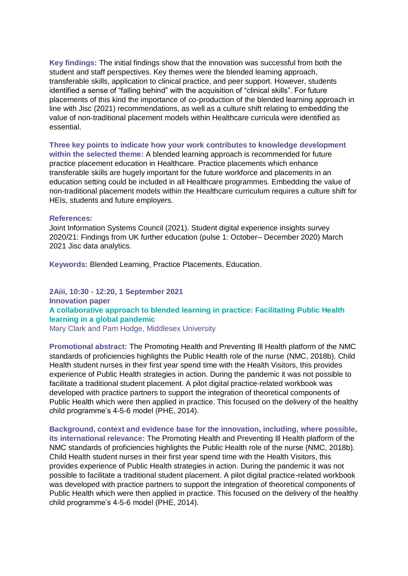**Key findings:** The initial findings show that the innovation was successful from both the student and staff perspectives. Key themes were the blended learning approach, transferable skills, application to clinical practice, and peer support. However, students identified a sense of "falling behind" with the acquisition of "clinical skills". For future placements of this kind the importance of co-production of the blended learning approach in line with Jisc (2021) recommendations, as well as a culture shift relating to embedding the value of non-traditional placement models within Healthcare curricula were identified as essential.

**Three key points to indicate how your work contributes to knowledge development within the selected theme:** A blended learning approach is recommended for future practice placement education in Healthcare. Practice placements which enhance transferable skills are hugely important for the future workforce and placements in an education setting could be included in all Healthcare programmes. Embedding the value of non-traditional placement models within the Healthcare curriculum requires a culture shift for HEIs, students and future employers.

#### **References:**

Joint Information Systems Council (2021). Student digital experience insights survey 2020/21: Findings from UK further education (pulse 1: October– December 2020) March 2021 Jisc data analytics.

**Keywords:** Blended Learning, Practice Placements, Education.

**2Aiii, 10:30 - 12:20, 1 September 2021 Innovation paper A collaborative approach to blended learning in practice: Facilitating Public Health learning in a global pandemic** Mary Clark and Pam Hodge, Middlesex University

**Promotional abstract:** The Promoting Health and Preventing Ill Health platform of the NMC standards of proficiencies highlights the Public Health role of the nurse (NMC, 2018b). Child Health student nurses in their first year spend time with the Health Visitors, this provides experience of Public Health strategies in action. During the pandemic it was not possible to facilitate a traditional student placement. A pilot digital practice-related workbook was developed with practice partners to support the integration of theoretical components of Public Health which were then applied in practice. This focused on the delivery of the healthy child programme's 4-5-6 model (PHE, 2014).

**Background, context and evidence base for the innovation, including, where possible, its international relevance:** The Promoting Health and Preventing Ill Health platform of the NMC standards of proficiencies highlights the Public Health role of the nurse (NMC, 2018b). Child Health student nurses in their first year spend time with the Health Visitors, this provides experience of Public Health strategies in action. During the pandemic it was not possible to facilitate a traditional student placement. A pilot digital practice-related workbook was developed with practice partners to support the integration of theoretical components of Public Health which were then applied in practice. This focused on the delivery of the healthy child programme's 4-5-6 model (PHE, 2014).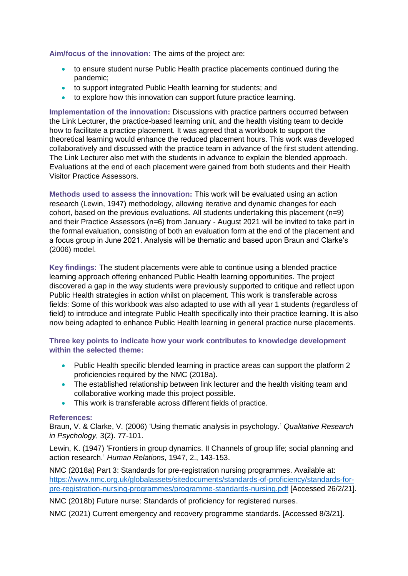**Aim/focus of the innovation:** The aims of the project are:

- to ensure student nurse Public Health practice placements continued during the pandemic;
- to support integrated Public Health learning for students; and
- to explore how this innovation can support future practice learning.

**Implementation of the innovation:** Discussions with practice partners occurred between the Link Lecturer, the practice-based learning unit, and the health visiting team to decide how to facilitate a practice placement. It was agreed that a workbook to support the theoretical learning would enhance the reduced placement hours. This work was developed collaboratively and discussed with the practice team in advance of the first student attending. The Link Lecturer also met with the students in advance to explain the blended approach. Evaluations at the end of each placement were gained from both students and their Health Visitor Practice Assessors.

**Methods used to assess the innovation:** This work will be evaluated using an action research (Lewin, 1947) methodology, allowing iterative and dynamic changes for each cohort, based on the previous evaluations. All students undertaking this placement  $(n=9)$ and their Practice Assessors (n=6) from January - August 2021 will be invited to take part in the formal evaluation, consisting of both an evaluation form at the end of the placement and a focus group in June 2021. Analysis will be thematic and based upon Braun and Clarke's (2006) model.

**Key findings:** The student placements were able to continue using a blended practice learning approach offering enhanced Public Health learning opportunities. The project discovered a gap in the way students were previously supported to critique and reflect upon Public Health strategies in action whilst on placement. This work is transferable across fields: Some of this workbook was also adapted to use with all year 1 students (regardless of field) to introduce and integrate Public Health specifically into their practice learning. It is also now being adapted to enhance Public Health learning in general practice nurse placements.

#### **Three key points to indicate how your work contributes to knowledge development within the selected theme:**

- Public Health specific blended learning in practice areas can support the platform 2 proficiencies required by the NMC (2018a).
- The established relationship between link lecturer and the health visiting team and collaborative working made this project possible.
- This work is transferable across different fields of practice.

#### **References:**

Braun, V. & Clarke, V. (2006) 'Using thematic analysis in psychology.' *Qualitative Research in Psychology*, 3(2). 77-101.

Lewin, K. (1947) 'Frontiers in group dynamics. II Channels of group life; social planning and action research.' *Human Relations*, 1947, 2., 143-153.

NMC (2018a) Part 3: Standards for pre-registration nursing programmes. Available at: [https://www.nmc.org.uk/globalassets/sitedocuments/standards-of-proficiency/standards-for](https://www.nmc.org.uk/globalassets/sitedocuments/standards-of-proficiency/standards-for-pre-registration-nursing-programmes/programme-standards-nursing.pdf)[pre-registration-nursing-programmes/programme-standards-nursing.pdf](https://www.nmc.org.uk/globalassets/sitedocuments/standards-of-proficiency/standards-for-pre-registration-nursing-programmes/programme-standards-nursing.pdf) [Accessed 26/2/21].

NMC (2018b) Future nurse: Standards of proficiency for registered nurses.

NMC (2021) Current emergency and recovery programme standards. [Accessed 8/3/21].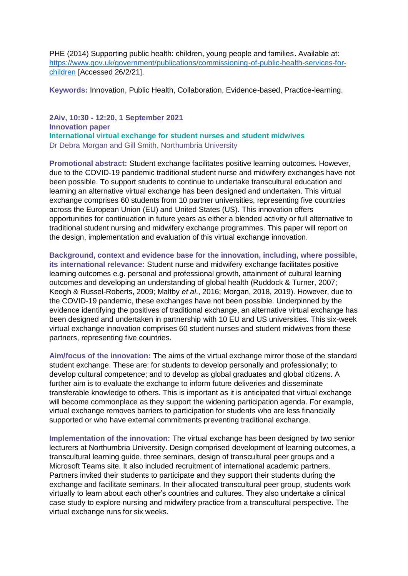PHE (2014) Supporting public health: children, young people and families. Available at: [https://www.gov.uk/government/publications/commissioning-of-public-health-services-for](https://www.gov.uk/government/publications/commissioning-of-public-health-services-for-children)[children](https://www.gov.uk/government/publications/commissioning-of-public-health-services-for-children) [Accessed 26/2/21].

**Keywords:** Innovation, Public Health, Collaboration, Evidence-based, Practice-learning.

**2Aiv, 10:30 - 12:20, 1 September 2021 Innovation paper International virtual exchange for student nurses and student midwives** Dr Debra Morgan and Gill Smith, Northumbria University

**Promotional abstract:** Student exchange facilitates positive learning outcomes. However, due to the COVID-19 pandemic traditional student nurse and midwifery exchanges have not been possible. To support students to continue to undertake transcultural education and learning an alternative virtual exchange has been designed and undertaken. This virtual exchange comprises 60 students from 10 partner universities, representing five countries across the European Union (EU) and United States (US). This innovation offers opportunities for continuation in future years as either a blended activity or full alternative to traditional student nursing and midwifery exchange programmes. This paper will report on the design, implementation and evaluation of this virtual exchange innovation.

**Background, context and evidence base for the innovation, including, where possible, its international relevance:** Student nurse and midwifery exchange facilitates positive learning outcomes e.g. personal and professional growth, attainment of cultural learning outcomes and developing an understanding of global health (Ruddock & Turner, 2007; Keogh & Russel-Roberts, 2009; Maltby *et al*., 2016; Morgan, 2018, 2019). However, due to the COVID-19 pandemic, these exchanges have not been possible. Underpinned by the evidence identifying the positives of traditional exchange, an alternative virtual exchange has been designed and undertaken in partnership with 10 EU and US universities. This six-week virtual exchange innovation comprises 60 student nurses and student midwives from these partners, representing five countries.

**Aim/focus of the innovation:** The aims of the virtual exchange mirror those of the standard student exchange. These are: for students to develop personally and professionally; to develop cultural competence; and to develop as global graduates and global citizens. A further aim is to evaluate the exchange to inform future deliveries and disseminate transferable knowledge to others. This is important as it is anticipated that virtual exchange will become commonplace as they support the widening participation agenda. For example, virtual exchange removes barriers to participation for students who are less financially supported or who have external commitments preventing traditional exchange.

**Implementation of the innovation:** The virtual exchange has been designed by two senior lecturers at Northumbria University. Design comprised development of learning outcomes, a transcultural learning guide, three seminars, design of transcultural peer groups and a Microsoft Teams site. It also included recruitment of international academic partners. Partners invited their students to participate and they support their students during the exchange and facilitate seminars. In their allocated transcultural peer group, students work virtually to learn about each other's countries and cultures. They also undertake a clinical case study to explore nursing and midwifery practice from a transcultural perspective. The virtual exchange runs for six weeks.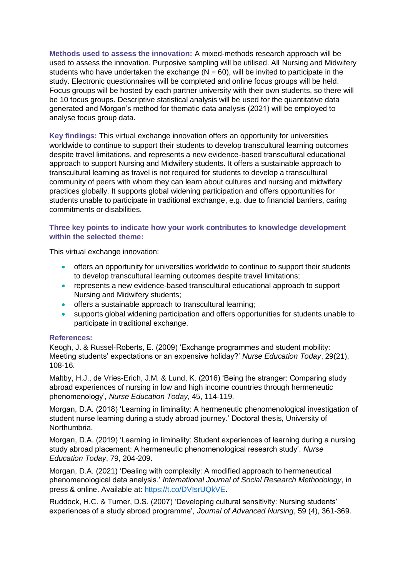**Methods used to assess the innovation:** A mixed-methods research approach will be used to assess the innovation. Purposive sampling will be utilised. All Nursing and Midwifery students who have undertaken the exchange  $(N = 60)$ , will be invited to participate in the study. Electronic questionnaires will be completed and online focus groups will be held. Focus groups will be hosted by each partner university with their own students, so there will be 10 focus groups. Descriptive statistical analysis will be used for the quantitative data generated and Morgan's method for thematic data analysis (2021) will be employed to analyse focus group data.

**Key findings:** This virtual exchange innovation offers an opportunity for universities worldwide to continue to support their students to develop transcultural learning outcomes despite travel limitations, and represents a new evidence-based transcultural educational approach to support Nursing and Midwifery students. It offers a sustainable approach to transcultural learning as travel is not required for students to develop a transcultural community of peers with whom they can learn about cultures and nursing and midwifery practices globally. It supports global widening participation and offers opportunities for students unable to participate in traditional exchange, e.g. due to financial barriers, caring commitments or disabilities.

#### **Three key points to indicate how your work contributes to knowledge development within the selected theme:**

This virtual exchange innovation:

- offers an opportunity for universities worldwide to continue to support their students to develop transcultural learning outcomes despite travel limitations;
- represents a new evidence-based transcultural educational approach to support Nursing and Midwifery students;
- offers a sustainable approach to transcultural learning;
- supports global widening participation and offers opportunities for students unable to participate in traditional exchange.

#### **References:**

Keogh, J. & Russel‐Roberts, E. (2009) 'Exchange programmes and student mobility: Meeting students' expectations or an expensive holiday?' *Nurse Education Today*, 29(21), 108‐16.

Maltby, H.J., de Vries-Erich, J.M. & Lund, K. (2016) 'Being the stranger: Comparing study abroad experiences of nursing in low and high income countries through hermeneutic phenomenology', *Nurse Education Today*, 45, 114-119.

Morgan, D.A. (2018) 'Learning in liminality: A hermeneutic phenomenological investigation of student nurse learning during a study abroad journey.' Doctoral thesis, University of Northumbria.

Morgan, D.A. (2019) 'Learning in liminality: Student experiences of learning during a nursing study abroad placement: A hermeneutic phenomenological research study'. *Nurse Education Today*, 79, 204-209.

Morgan, D.A. (2021) 'Dealing with complexity: A modified approach to hermeneutical phenomenological data analysis.' *International Journal of Social Research Methodology*, in press & online. Available at: [https://t.co/DVIsrUQkVE.](https://t.co/DVIsrUQkVE)

Ruddock, H.C. & Turner, D.S. (2007) 'Developing cultural sensitivity: Nursing students' experiences of a study abroad programme', *Journal of Advanced Nursing*, 59 (4), 361-369.